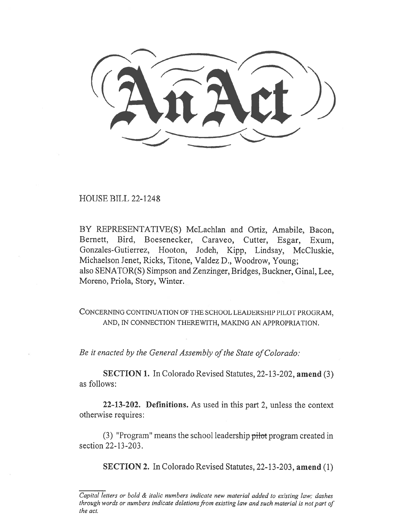(AnAct)

HOUSE BILL 22-1248

BY REPRESENTATIVE(S) McLachlan and Ortiz, Amabile, Bacon, Bernett, Bird, Boesenecker, Caraveo, Cutter, Esgar, Exum, Gonzales-Gutierrez, Hooton, Jodeh, Kipp, Lindsay, McCluskie, Michaelson Jenet, Ricks, Titone, Valdez D., Woodrow, Young; also SENATOR(S) Simpson and Zenzinger, Bridges, Buckner, Ginal, Lee, Moreno, Priola, Story, Winter.

CONCERNING CONTINUATION OF THE SCHOOL LEADERSHIP PILOT PROGRAM, AND, IN CONNECTION THEREWITH, MAKING AN APPROPRIATION.

Be it enacted by the General Assembly of the State of Colorado:

SECTION 1. In Colorado Revised Statutes, 22-13-202, amend (3) as follows:

22-13-202. Definitions. As used in this part 2, unless the context otherwise requires:

(3) "Program" means the school leadership pilot program created in section 22-13-203.

SECTION 2. In Colorado Revised Statutes, 22-13-203, amend (1)

Capital letters or bold & italic numbers indicate new material added to existing law; dashes through words or numbers indicate deletions from existing law and such material is not part of the act.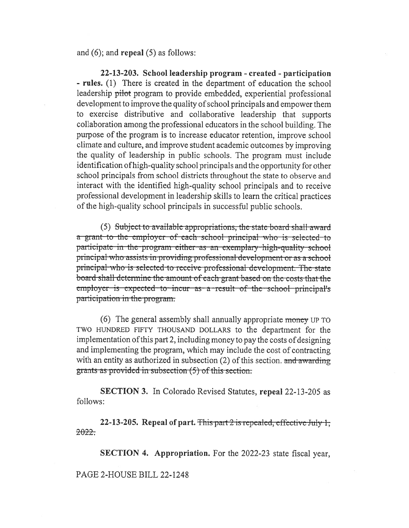and (6); and repeal (5) as follows:

22-13-203. School leadership program - created - participation - rules. (1) There is created in the department of education the school leadership pilot program to provide embedded, experiential professional development to improve the quality of school principals and empower them to exercise distributive and collaborative leadership that supports collaboration among the professional educators in the school building. The purpose of the program is to increase educator retention, improve school climate and culture, and improve student academic outcomes by improving the quality of leadership in public schools. The program must include identification of high-quality school principals and the opportunity for other school principals from school districts throughout the state to observe and interact with the identified high-quality school principals and to receive professional development in leadership skills to learn the critical practices of the high-quality school principals in successful public schools.

(5) Subject to available appropriations, the state-board-shall-award a grant to the employer of each school principal who is selected to participate in the program either-as an exemplary-high-quality school principal-who assists-in-providing-professional-development-oras a school principal-who is selected-to-receive-professional-development. The state board-shall-determine-the-amount-of-each-grant-based-on-the-costs-that-theemployer is expected to incur as a result of the school principal's participation in the program.

(6) The general assembly shall annually appropriate money UP TO TWO HUNDRED FIFTY THOUSAND DOLLARS to the department for the implementation of this part 2, including money to pay the costs of designing and implementing the program, which may include the cost of contracting with an entity as authorized in subsection (2) of this section. and awarding  $\frac{1}{2}$  and  $\frac{1}{2}$  in subscribed in subsection (5) of this section.

SECTION 3. In Colorado Revised Statutes, repeal 22-13-205 as follows:

22-13-205. Repeal of part. This part  $2$  is repealed, effective July 1,  $2022.$ 

SECTION 4. Appropriation. For the 2022-23 state fiscal year,

PAGE 2-HOUSE BILL 22-1248